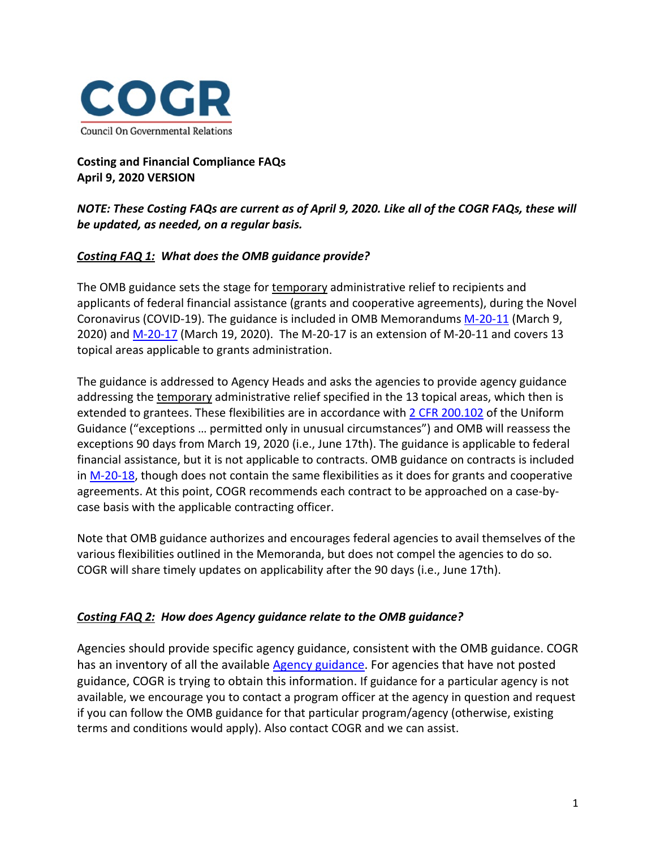

**Costing and Financial Compliance FAQs April 9, 2020 VERSION**

## *NOTE: These Costing FAQs are current as of April 9, 2020. Like all of the COGR FAQs, these will be updated, as needed, on a regular basis.*

### *Costing FAQ 1: What does the OMB guidance provide?*

The OMB guidance sets the stage for temporary administrative relief to recipients and applicants of federal financial assistance (grants and cooperative agreements), during the Novel Coronavirus (COVID-19). The guidance is included in OMB Memorandums [M-20-11](https://www.whitehouse.gov/wp-content/uploads/2020/03/M-20-11.pdf) (March 9, 2020) and [M-20-17](https://www.whitehouse.gov/wp-content/uploads/2020/03/M-20-17.pdf) (March 19, 2020). The M-20-17 is an extension of M-20-11 and covers 13 topical areas applicable to grants administration.

The guidance is addressed to Agency Heads and asks the agencies to provide agency guidance addressing the temporary administrative relief specified in the 13 topical areas, which then is extended to grantees. These flexibilities are in accordance with [2 CFR 200.102](https://www.ecfr.gov/cgi-bin/text-idx?SID=3346a6d64c9c167f641f19dfb5775fd6&mc=true&node=se2.1.200_1102&rgn=div8) of the Uniform Guidance ("exceptions … permitted only in unusual circumstances") and OMB will reassess the exceptions 90 days from March 19, 2020 (i.e., June 17th). The guidance is applicable to federal financial assistance, but it is not applicable to contracts. OMB guidance on contracts is included in [M-20-18,](https://www.whitehouse.gov/wp-content/uploads/2020/03/M-20-18.pdf) though does not contain the same flexibilities as it does for grants and cooperative agreements. At this point, COGR recommends each contract to be approached on a case-bycase basis with the applicable contracting officer.

Note that OMB guidance authorizes and encourages federal agencies to avail themselves of the various flexibilities outlined in the Memoranda, but does not compel the agencies to do so. COGR will share timely updates on applicability after the 90 days (i.e., June 17th).

#### *Costing FAQ 2: How does Agency guidance relate to the OMB guidance?*

Agencies should provide specific agency guidance, consistent with the OMB guidance. COGR has an inventory of all the available [Agency guidance.](https://www.cogr.edu/institutional-and-agency-responses-covid-19-and-additional-resources) For agencies that have not posted guidance, COGR is trying to obtain this information. If guidance for a particular agency is not available, we encourage you to contact a program officer at the agency in question and request if you can follow the OMB guidance for that particular program/agency (otherwise, existing terms and conditions would apply). Also contact COGR and we can assist.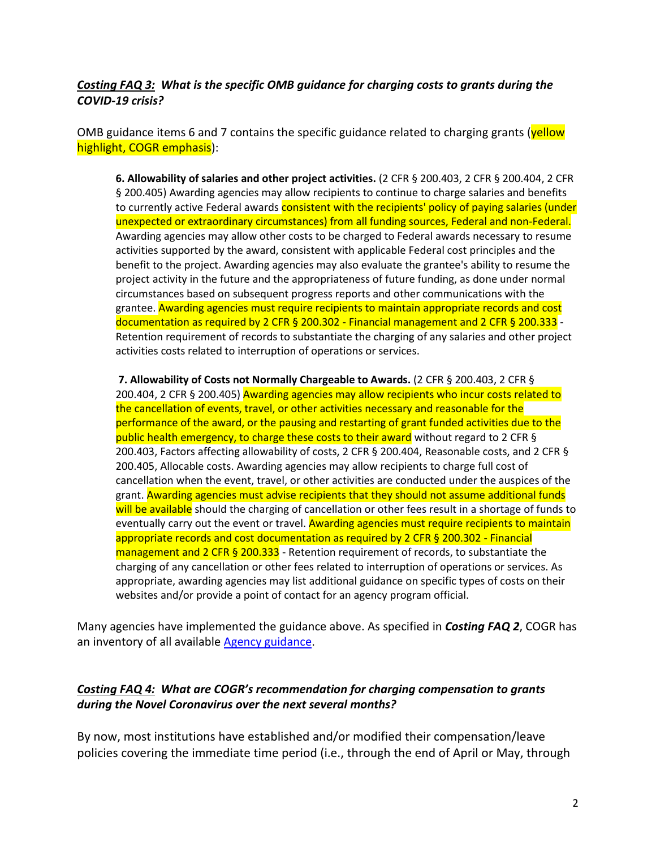### *Costing FAQ 3: What is the specific OMB guidance for charging costs to grants during the COVID-19 crisis?*

OMB guidance items 6 and 7 contains the specific guidance related to charging grants (yellow highlight, COGR emphasis):

**6. Allowability of salaries and other project activities.** (2 CFR § 200.403, 2 CFR § 200.404, 2 CFR § 200.405) Awarding agencies may allow recipients to continue to charge salaries and benefits to currently active Federal awards consistent with the recipients' policy of paying salaries (under unexpected or extraordinary circumstances) from all funding sources, Federal and non-Federal. Awarding agencies may allow other costs to be charged to Federal awards necessary to resume activities supported by the award, consistent with applicable Federal cost principles and the benefit to the project. Awarding agencies may also evaluate the grantee's ability to resume the project activity in the future and the appropriateness of future funding, as done under normal circumstances based on subsequent progress reports and other communications with the grantee. Awarding agencies must require recipients to maintain appropriate records and cost documentation as required by 2 CFR § 200.302 - Financial management and 2 CFR § 200.333 - Retention requirement of records to substantiate the charging of any salaries and other project activities costs related to interruption of operations or services.

**7. Allowability of Costs not Normally Chargeable to Awards.** (2 CFR § 200.403, 2 CFR § 200.404, 2 CFR § 200.405) Awarding agencies may allow recipients who incur costs related to the cancellation of events, travel, or other activities necessary and reasonable for the performance of the award, or the pausing and restarting of grant funded activities due to the public health emergency, to charge these costs to their award without regard to 2 CFR § 200.403, Factors affecting allowability of costs, 2 CFR § 200.404, Reasonable costs, and 2 CFR § 200.405, Allocable costs. Awarding agencies may allow recipients to charge full cost of cancellation when the event, travel, or other activities are conducted under the auspices of the grant. Awarding agencies must advise recipients that they should not assume additional funds will be available should the charging of cancellation or other fees result in a shortage of funds to eventually carry out the event or travel. Awarding agencies must require recipients to maintain appropriate records and cost documentation as required by 2 CFR § 200.302 - Financial  $m$ anagement and 2 CFR § 200.333 - Retention requirement of records, to substantiate the charging of any cancellation or other fees related to interruption of operations or services. As appropriate, awarding agencies may list additional guidance on specific types of costs on their websites and/or provide a point of contact for an agency program official.

Many agencies have implemented the guidance above. As specified in *Costing FAQ 2*, COGR has an inventory of all available [Agency guidance.](https://www.cogr.edu/institutional-and-agency-responses-covid-19-and-additional-resources)

### *Costing FAQ 4: What are COGR's recommendation for charging compensation to grants during the Novel Coronavirus over the next several months?*

By now, most institutions have established and/or modified their compensation/leave policies covering the immediate time period (i.e., through the end of April or May, through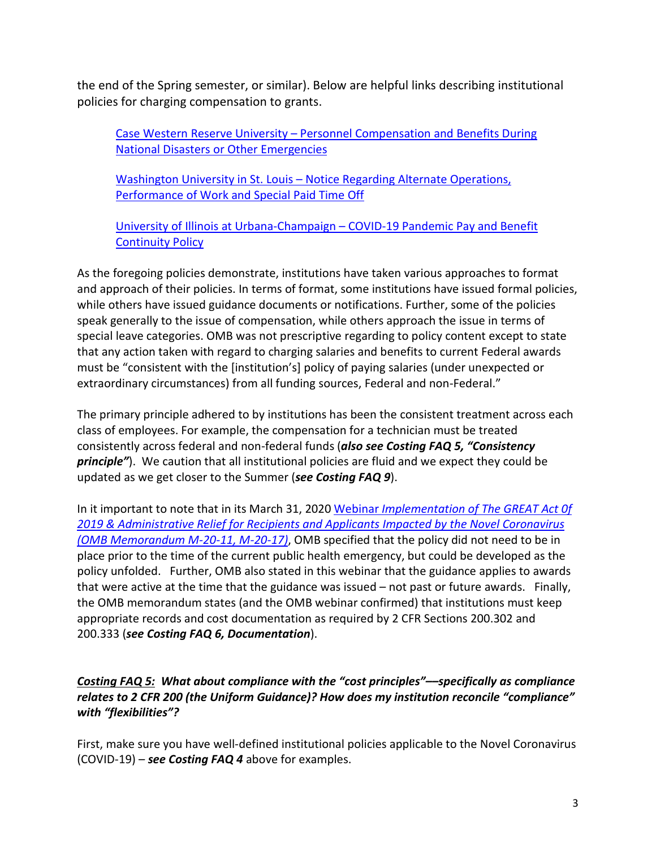the end of the Spring semester, or similar). Below are helpful links describing institutional policies for charging compensation to grants.

Case Western Reserve University – [Personnel Compensation and Benefits During](https://case.edu/hr/university-policies/university-wide-expectations-and-services/personnel-compensation-and-benefits-during-natural-disasters-or-other-emergencies)  [National Disasters or Other Emergencies](https://case.edu/hr/university-policies/university-wide-expectations-and-services/personnel-compensation-and-benefits-during-natural-disasters-or-other-emergencies)

Washington University in St. Louis – [Notice Regarding Alternate Operations,](https://emergency.wustl.edu/wp-content/uploads/2020/03/Message-to-faculty-and-staff-3-16-20.pdf)  [Performance of Work and Special Paid Time Off](https://emergency.wustl.edu/wp-content/uploads/2020/03/Message-to-faculty-and-staff-3-16-20.pdf)

[University of Illinois at Urbana-Champaign –](https://humanresources.illinois.edu/assets/docs/COVID-19-Pay-Continuation-Protocol-Final-3-22-2020.pdf) COVID-19 Pandemic Pay and Benefit [Continuity Policy](https://humanresources.illinois.edu/assets/docs/COVID-19-Pay-Continuation-Protocol-Final-3-22-2020.pdf)

As the foregoing policies demonstrate, institutions have taken various approaches to format and approach of their policies. In terms of format, some institutions have issued formal policies, while others have issued guidance documents or notifications. Further, some of the policies speak generally to the issue of compensation, while others approach the issue in terms of special leave categories. OMB was not prescriptive regarding to policy content except to state that any action taken with regard to charging salaries and benefits to current Federal awards must be "consistent with the [institution's] policy of paying salaries (under unexpected or extraordinary circumstances) from all funding sources, Federal and non-Federal."

The primary principle adhered to by institutions has been the consistent treatment across each class of employees. For example, the compensation for a technician must be treated consistently across federal and non-federal funds (*also see Costing FAQ 5, "Consistency principle"*). We caution that all institutional policies are fluid and we expect they could be updated as we get closer to the Summer (*see Costing FAQ 9*).

In it important to note that in its March 31, 2020 Webinar *[Implementation of The GREAT Act 0f](https://www.performance.gov/CAP/grants/)  [2019 & Administrative Relief for Recipients and Applicants Impacted by the Novel Coronavirus](https://www.performance.gov/CAP/grants/)  [\(OMB Memorandum M-20-11, M-20-17\)](https://www.performance.gov/CAP/grants/)*, OMB specified that the policy did not need to be in place prior to the time of the current public health emergency, but could be developed as the policy unfolded. Further, OMB also stated in this webinar that the guidance applies to awards that were active at the time that the guidance was issued – not past or future awards. Finally, the OMB memorandum states (and the OMB webinar confirmed) that institutions must keep appropriate records and cost documentation as required by 2 CFR Sections 200.302 and 200.333 (*see Costing FAQ 6, Documentation*).

# *Costing FAQ 5: What about compliance with the "cost principles"––specifically as compliance relates to 2 CFR 200 (the Uniform Guidance)? How does my institution reconcile "compliance" with "flexibilities"?*

First, make sure you have well-defined institutional policies applicable to the Novel Coronavirus (COVID-19) – *see Costing FAQ 4* above for examples.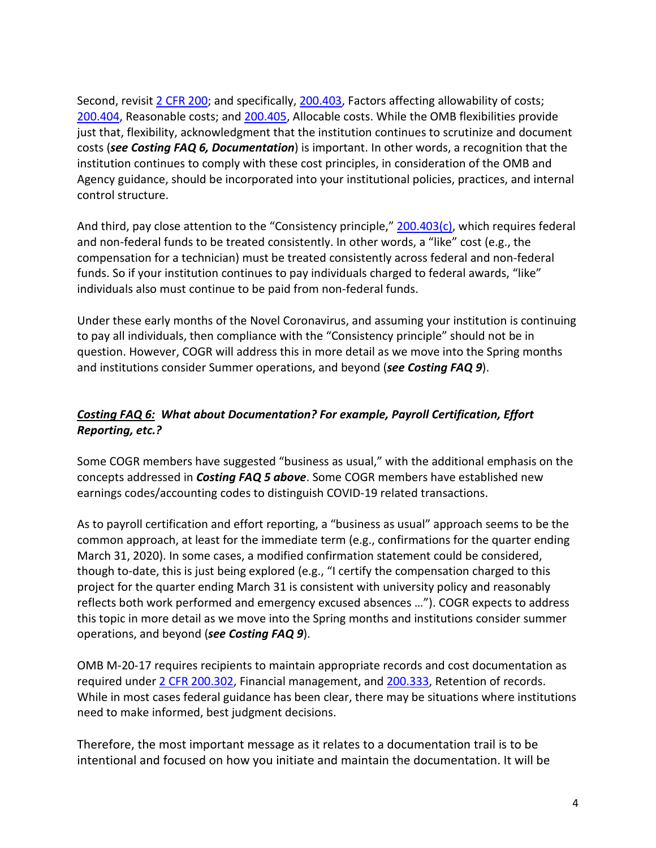Second, revisi[t 2 CFR 200;](https://www.ecfr.gov/cgi-bin/text-idx?tpl=/ecfrbrowse/Title02/2cfr200_main_02.tpl) and specifically, [200.403,](https://www.ecfr.gov/cgi-bin/text-idx?SID=c7899cf090dd342dbc6f71b533e54a98&mc=true&node=se2.1.200_1403&rgn=div8) Factors affecting allowability of costs; [200.404,](https://www.ecfr.gov/cgi-bin/text-idx?SID=c7899cf090dd342dbc6f71b533e54a98&mc=true&node=se2.1.200_1404&rgn=div8) Reasonable costs; and [200.405,](https://www.ecfr.gov/cgi-bin/text-idx?SID=c7899cf090dd342dbc6f71b533e54a98&mc=true&node=se2.1.200_1405&rgn=div8) Allocable costs. While the OMB flexibilities provide just that, flexibility, acknowledgment that the institution continues to scrutinize and document costs (*see Costing FAQ 6, Documentation*) is important. In other words, a recognition that the institution continues to comply with these cost principles, in consideration of the OMB and Agency guidance, should be incorporated into your institutional policies, practices, and internal control structure.

And third, pay close attention to the "Consistency principle," [200.403\(c\),](https://www.ecfr.gov/cgi-bin/text-idx?SID=c7899cf090dd342dbc6f71b533e54a98&mc=true&node=se2.1.200_1403&rgn=div8) which requires federal and non-federal funds to be treated consistently. In other words, a "like" cost (e.g., the compensation for a technician) must be treated consistently across federal and non-federal funds. So if your institution continues to pay individuals charged to federal awards, "like" individuals also must continue to be paid from non-federal funds.

Under these early months of the Novel Coronavirus, and assuming your institution is continuing to pay all individuals, then compliance with the "Consistency principle" should not be in question. However, COGR will address this in more detail as we move into the Spring months and institutions consider Summer operations, and beyond (*see Costing FAQ 9*).

# *Costing FAQ 6: What about Documentation? For example, Payroll Certification, Effort Reporting, etc.?*

Some COGR members have suggested "business as usual," with the additional emphasis on the concepts addressed in *Costing FAQ 5 above*. Some COGR members have established new earnings codes/accounting codes to distinguish COVID-19 related transactions.

As to payroll certification and effort reporting, a "business as usual" approach seems to be the common approach, at least for the immediate term (e.g., confirmations for the quarter ending March 31, 2020). In some cases, a modified confirmation statement could be considered, though to-date, this is just being explored (e.g., "I certify the compensation charged to this project for the quarter ending March 31 is consistent with university policy and reasonably reflects both work performed and emergency excused absences …"). COGR expects to address this topic in more detail as we move into the Spring months and institutions consider summer operations, and beyond (*see Costing FAQ 9*).

OMB M-20-17 requires recipients to maintain appropriate records and cost documentation as required under [2 CFR 200.302,](https://www.ecfr.gov/cgi-bin/text-idx?SID=adf2d8e00cac2841591cc57385162c86&mc=true&node=se2.1.200_1302&rgn=div8) Financial management, and [200.333,](https://www.ecfr.gov/cgi-bin/text-idx?SID=adf2d8e00cac2841591cc57385162c86&mc=true&node=se2.1.200_1333&rgn=div8) Retention of records. While in most cases federal guidance has been clear, there may be situations where institutions need to make informed, best judgment decisions.

Therefore, the most important message as it relates to a documentation trail is to be intentional and focused on how you initiate and maintain the documentation. It will be